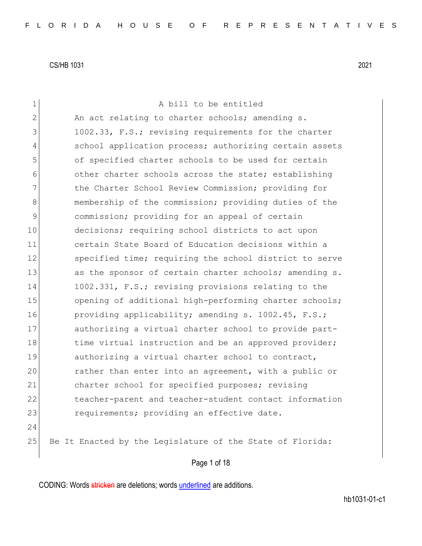| $\mathbf 1$    | A bill to be entitled                                     |
|----------------|-----------------------------------------------------------|
| $\mathbf{2}$   | An act relating to charter schools; amending s.           |
| 3              | 1002.33, F.S.; revising requirements for the charter      |
| $\overline{4}$ | school application process; authorizing certain assets    |
| 5              | of specified charter schools to be used for certain       |
| 6              | other charter schools across the state; establishing      |
| 7              | the Charter School Review Commission; providing for       |
| 8              | membership of the commission; providing duties of the     |
| $\mathcal{G}$  | commission; providing for an appeal of certain            |
| 10             | decisions; requiring school districts to act upon         |
| 11             | certain State Board of Education decisions within a       |
| 12             | specified time; requiring the school district to serve    |
| 13             | as the sponsor of certain charter schools; amending s.    |
| 14             | 1002.331, F.S.; revising provisions relating to the       |
| 15             | opening of additional high-performing charter schools;    |
| 16             | providing applicability; amending s. 1002.45, F.S.;       |
| 17             | authorizing a virtual charter school to provide part-     |
| 18             | time virtual instruction and be an approved provider;     |
| 19             | authorizing a virtual charter school to contract,         |
| 20             | rather than enter into an agreement, with a public or     |
| 21             | charter school for specified purposes; revising           |
| 22             | teacher-parent and teacher-student contact information    |
| 23             | requirements; providing an effective date.                |
| 24             |                                                           |
| 25             | Be It Enacted by the Legislature of the State of Florida: |
|                | Page 1 of 18                                              |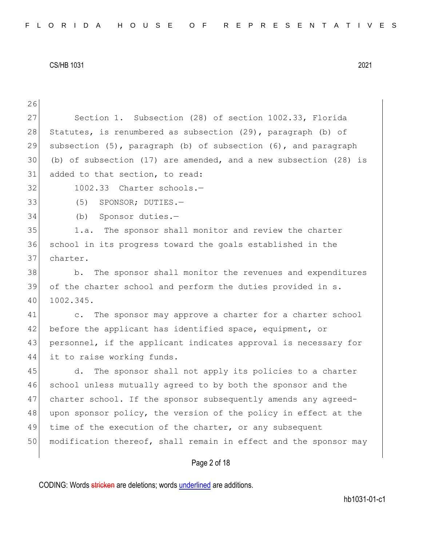| 26 |                                                                        |
|----|------------------------------------------------------------------------|
| 27 | Section 1. Subsection (28) of section 1002.33, Florida                 |
| 28 | Statutes, is renumbered as subsection (29), paragraph (b) of           |
| 29 | subsection $(5)$ , paragraph $(b)$ of subsection $(6)$ , and paragraph |
| 30 | (b) of subsection (17) are amended, and a new subsection (28) is       |
| 31 | added to that section, to read:                                        |
| 32 | 1002.33 Charter schools.-                                              |
| 33 | SPONSOR; DUTIES.-<br>(5)                                               |
| 34 | Sponsor duties.-<br>(b)                                                |
| 35 | 1.a. The sponsor shall monitor and review the charter                  |
| 36 | school in its progress toward the goals established in the             |
| 37 | charter.                                                               |
| 38 | The sponsor shall monitor the revenues and expenditures<br>b.          |
| 39 | of the charter school and perform the duties provided in s.            |
| 40 | 1002.345.                                                              |
| 41 | The sponsor may approve a charter for a charter school<br>$\circ$ .    |
| 42 | before the applicant has identified space, equipment, or               |
| 43 | personnel, if the applicant indicates approval is necessary for        |
| 44 | it to raise working funds.                                             |
| 45 | The sponsor shall not apply its policies to a charter<br>d.            |
| 46 | school unless mutually agreed to by both the sponsor and the           |
| 47 | charter school. If the sponsor subsequently amends any agreed-         |
| 48 | upon sponsor policy, the version of the policy in effect at the        |
| 49 | time of the execution of the charter, or any subsequent                |
| 50 | modification thereof, shall remain in effect and the sponsor may       |
|    | Page 2 of 18                                                           |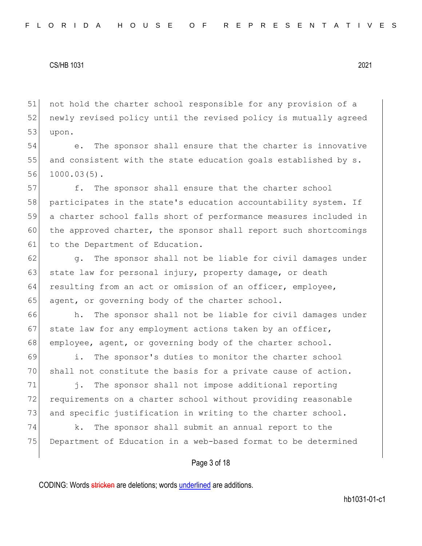51 not hold the charter school responsible for any provision of a 52 newly revised policy until the revised policy is mutually agreed  $53$  upon.

54 e. The sponsor shall ensure that the charter is innovative 55 and consistent with the state education goals established by  $s$ . 56 1000.03(5).

57 f. The sponsor shall ensure that the charter school 58 participates in the state's education accountability system. If 59 a charter school falls short of performance measures included in 60 the approved charter, the sponsor shall report such shortcomings 61 to the Department of Education.

62 g. The sponsor shall not be liable for civil damages under 63 state law for personal injury, property damage, or death 64 resulting from an act or omission of an officer, employee, 65 agent, or governing body of the charter school.

66 h. The sponsor shall not be liable for civil damages under 67 state law for any employment actions taken by an officer, 68 employee, agent, or governing body of the charter school.

69 i. The sponsor's duties to monitor the charter school 70 shall not constitute the basis for a private cause of action.

71 i. The sponsor shall not impose additional reporting 72 requirements on a charter school without providing reasonable 73 and specific justification in writing to the charter school.

74 k. The sponsor shall submit an annual report to the 75 Department of Education in a web-based format to be determined

## Page 3 of 18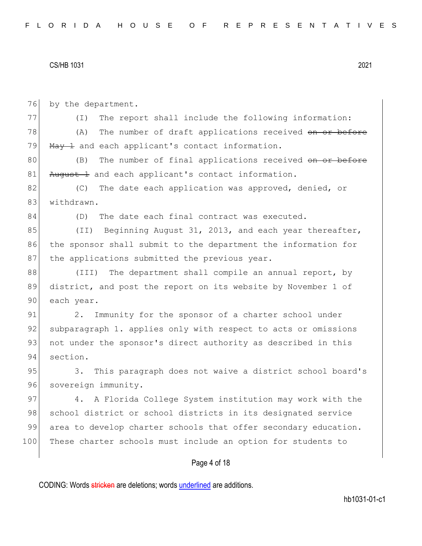76 by the department. 77 (I) The report shall include the following information: 78 (A) The number of draft applications received on or before 79  $\text{May } 1$  and each applicant's contact information. 80 (B) The number of final applications received on or before 81 August 4 and each applicant's contact information. 82 (C) The date each application was approved, denied, or 83 withdrawn. 84 (D) The date each final contract was executed. 85 (II) Beginning August 31, 2013, and each year thereafter, 86 the sponsor shall submit to the department the information for 87 the applications submitted the previous year. 88 (III) The department shall compile an annual report, by 89 district, and post the report on its website by November 1 of 90 each year. 91 2. Immunity for the sponsor of a charter school under 92 subparagraph 1. applies only with respect to acts or omissions 93 not under the sponsor's direct authority as described in this 94 section. 95 3. This paragraph does not waive a district school board's 96 sovereign immunity. 97 4. A Florida College System institution may work with the 98 school district or school districts in its designated service 99 area to develop charter schools that offer secondary education. 100 These charter schools must include an option for students to

# Page 4 of 18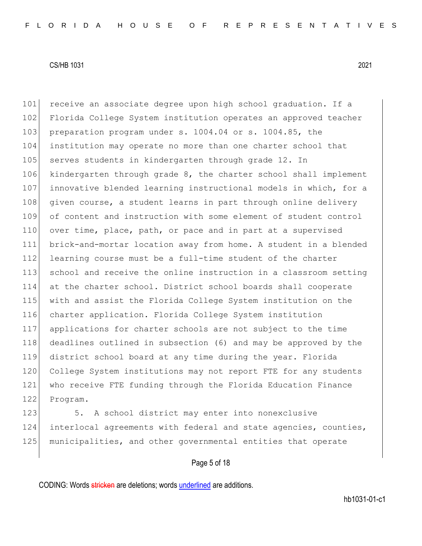101 receive an associate degree upon high school graduation. If a

## CS/HB 1031 2021

102 Florida College System institution operates an approved teacher 103 preparation program under s. 1004.04 or s. 1004.85, the 104 institution may operate no more than one charter school that 105 serves students in kindergarten through grade 12. In 106 kindergarten through grade 8, the charter school shall implement 107 innovative blended learning instructional models in which, for a 108 given course, a student learns in part through online delivery 109 of content and instruction with some element of student control 110 over time, place, path, or pace and in part at a supervised 111 brick-and-mortar location away from home. A student in a blended 112 learning course must be a full-time student of the charter 113 school and receive the online instruction in a classroom setting 114 at the charter school. District school boards shall cooperate 115 with and assist the Florida College System institution on the 116 charter application. Florida College System institution 117 applications for charter schools are not subject to the time 118 deadlines outlined in subsection (6) and may be approved by the 119 district school board at any time during the year. Florida 120 College System institutions may not report FTE for any students 121 who receive FTE funding through the Florida Education Finance 122 Program.

123 5. A school district may enter into nonexclusive 124 interlocal agreements with federal and state agencies, counties, 125 municipalities, and other governmental entities that operate

# Page 5 of 18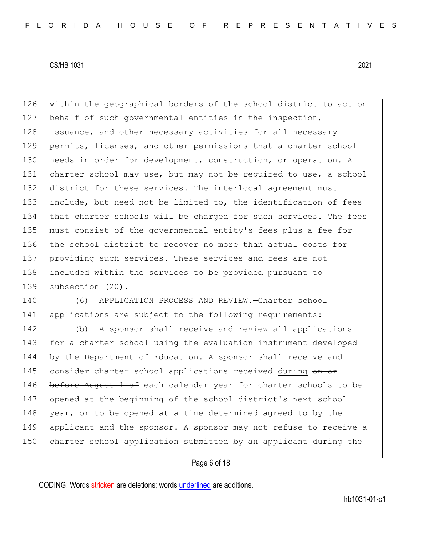126 within the geographical borders of the school district to act on 127 behalf of such governmental entities in the inspection, 128 issuance, and other necessary activities for all necessary 129 permits, licenses, and other permissions that a charter school 130 needs in order for development, construction, or operation. A 131 charter school may use, but may not be required to use, a school 132 district for these services. The interlocal agreement must 133 include, but need not be limited to, the identification of fees 134 that charter schools will be charged for such services. The fees 135 must consist of the governmental entity's fees plus a fee for 136 the school district to recover no more than actual costs for 137 providing such services. These services and fees are not 138 included within the services to be provided pursuant to 139 subsection (20).

140 (6) APPLICATION PROCESS AND REVIEW.—Charter school 141 applications are subject to the following requirements:

142 (b) A sponsor shall receive and review all applications 143 for a charter school using the evaluation instrument developed 144 by the Department of Education. A sponsor shall receive and 145 consider charter school applications received during on or 146 before August 1 of each calendar year for charter schools to be 147 opened at the beginning of the school district's next school 148 year, or to be opened at a time determined agreed to by the 149 applicant and the sponsor. A sponsor may not refuse to receive a 150 charter school application submitted by an applicant during the

# Page 6 of 18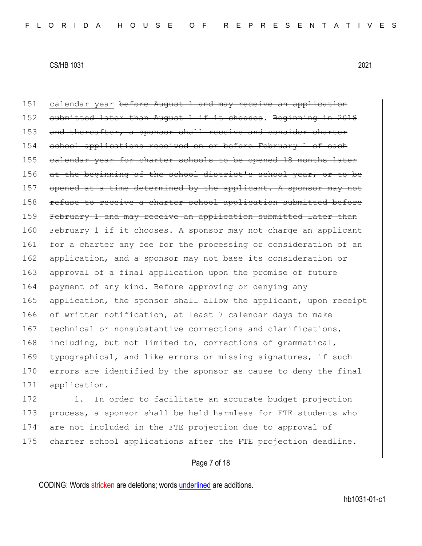151 calendar year before August 1 and may receive an application 152 submitted later than August 1 if it chooses. Beginning in 2018 153 and thereafter, a sponsor shall receive and consider charter 154 school applications received on or before February 1 of each 155 calendar year for charter schools to be opened 18 months later 156 at the beginning of the school district's school year, or to 157 opened at a time determined by the applicant. A sponsor may not 158 refuse to receive a charter school application submitted before 159 February 1 and may receive an application submitted later than 160 February 1 if it chooses. A sponsor may not charge an applicant 161 for a charter any fee for the processing or consideration of an 162 application, and a sponsor may not base its consideration or 163 approval of a final application upon the promise of future 164 payment of any kind. Before approving or denying any 165 application, the sponsor shall allow the applicant, upon receipt 166 of written notification, at least 7 calendar days to make 167 technical or nonsubstantive corrections and clarifications, 168 including, but not limited to, corrections of grammatical, 169 typographical, and like errors or missing signatures, if such 170 errors are identified by the sponsor as cause to deny the final 171 application.

172 1. In order to facilitate an accurate budget projection 173 process, a sponsor shall be held harmless for FTE students who 174 are not included in the FTE projection due to approval of 175 charter school applications after the FTE projection deadline.

# Page 7 of 18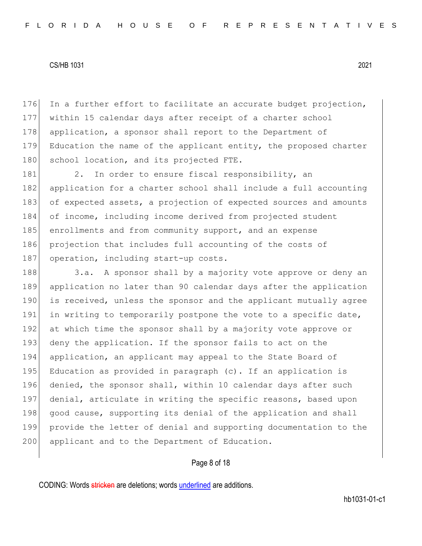176 In a further effort to facilitate an accurate budget projection, 177 within 15 calendar days after receipt of a charter school 178 application, a sponsor shall report to the Department of 179 Education the name of the applicant entity, the proposed charter 180 school location, and its projected FTE.

181 2. In order to ensure fiscal responsibility, an 182 application for a charter school shall include a full accounting 183 of expected assets, a projection of expected sources and amounts 184 of income, including income derived from projected student 185 enrollments and from community support, and an expense 186 projection that includes full accounting of the costs of 187 operation, including start-up costs.

188 3.a. A sponsor shall by a majority vote approve or deny an 189 application no later than 90 calendar days after the application 190 is received, unless the sponsor and the applicant mutually agree 191 in writing to temporarily postpone the vote to a specific date, 192 at which time the sponsor shall by a majority vote approve or 193 deny the application. If the sponsor fails to act on the 194 application, an applicant may appeal to the State Board of 195 Education as provided in paragraph (c). If an application is 196 denied, the sponsor shall, within 10 calendar days after such 197 denial, articulate in writing the specific reasons, based upon 198 good cause, supporting its denial of the application and shall 199 provide the letter of denial and supporting documentation to the 200 applicant and to the Department of Education.

# Page 8 of 18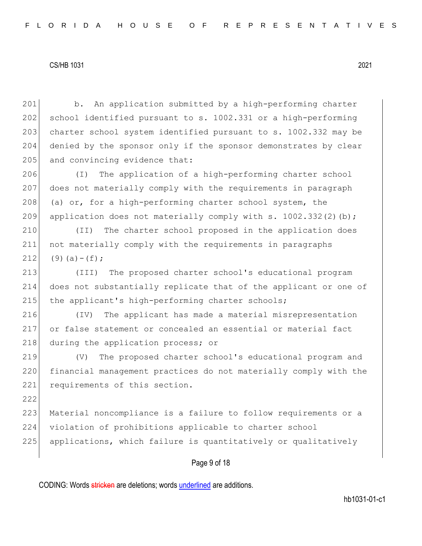b. An application submitted by a high-performing charter 202 school identified pursuant to s.  $1002.331$  or a high-performing 203 charter school system identified pursuant to s. 1002.332 may be denied by the sponsor only if the sponsor demonstrates by clear and convincing evidence that: (I) The application of a high-performing charter school does not materially comply with the requirements in paragraph (a) or, for a high-performing charter school system, the 209 application does not materially comply with s. 1002.332(2)(b); (II) The charter school proposed in the application does not materially comply with the requirements in paragraphs 212 (9)(a) – (f); (III) The proposed charter school's educational program does not substantially replicate that of the applicant or one of 215 the applicant's high-performing charter schools; (IV) The applicant has made a material misrepresentation or false statement or concealed an essential or material fact 218 during the application process; or (V) The proposed charter school's educational program and financial management practices do not materially comply with the 221 requirements of this section. 222 223 Material noncompliance is a failure to follow requirements or a violation of prohibitions applicable to charter school applications, which failure is quantitatively or qualitatively

Page 9 of 18

CODING: Words stricken are deletions; words underlined are additions.

hb1031-01-c1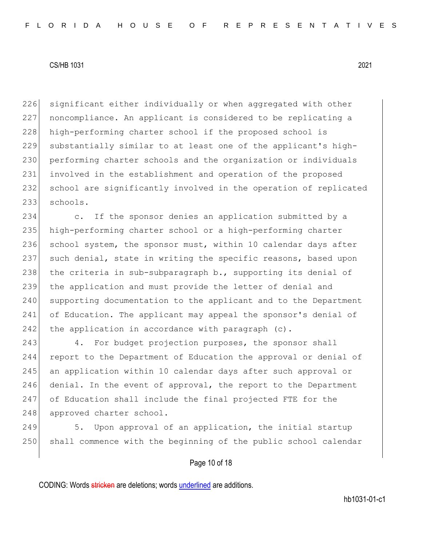226 significant either individually or when aggregated with other noncompliance. An applicant is considered to be replicating a high-performing charter school if the proposed school is substantially similar to at least one of the applicant's high-230 performing charter schools and the organization or individuals involved in the establishment and operation of the proposed school are significantly involved in the operation of replicated 233 schools.

234 c. If the sponsor denies an application submitted by a 235 high-performing charter school or a high-performing charter 236 school system, the sponsor must, within 10 calendar days after 237 such denial, state in writing the specific reasons, based upon 238 the criteria in sub-subparagraph b., supporting its denial of 239 the application and must provide the letter of denial and 240 supporting documentation to the applicant and to the Department 241 of Education. The applicant may appeal the sponsor's denial of 242 the application in accordance with paragraph  $(c)$ .

243 4. For budget projection purposes, the sponsor shall 244 report to the Department of Education the approval or denial of 245 an application within 10 calendar days after such approval or 246 denial. In the event of approval, the report to the Department 247 of Education shall include the final projected FTE for the 248 approved charter school.

249 5. Upon approval of an application, the initial startup 250 shall commence with the beginning of the public school calendar

# Page 10 of 18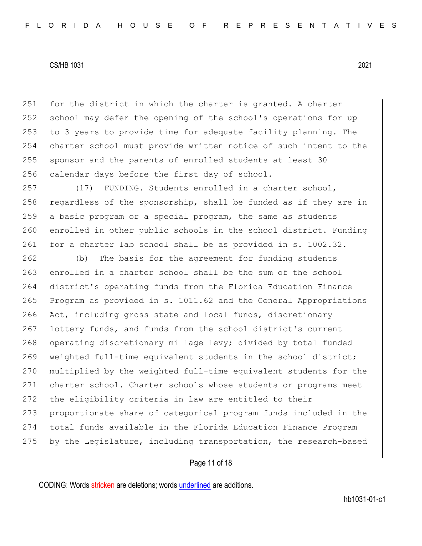251 for the district in which the charter is granted. A charter 252 school may defer the opening of the school's operations for up 253 to 3 years to provide time for adequate facility planning. The 254 charter school must provide written notice of such intent to the 255 sponsor and the parents of enrolled students at least 30 256 calendar days before the first day of school.

257 (17) FUNDING.—Students enrolled in a charter school,  $258$  regardless of the sponsorship, shall be funded as if they are in 259 a basic program or a special program, the same as students 260 enrolled in other public schools in the school district. Funding 261 for a charter lab school shall be as provided in s. 1002.32.

262 (b) The basis for the agreement for funding students 263 enrolled in a charter school shall be the sum of the school 264 district's operating funds from the Florida Education Finance 265 Program as provided in s. 1011.62 and the General Appropriations 266 Act, including gross state and local funds, discretionary 267 lottery funds, and funds from the school district's current 268 operating discretionary millage levy; divided by total funded 269 weighted full-time equivalent students in the school district; 270 multiplied by the weighted full-time equivalent students for the 271 charter school. Charter schools whose students or programs meet 272 the eligibility criteria in law are entitled to their 273 proportionate share of categorical program funds included in the 274 total funds available in the Florida Education Finance Program 275 by the Legislature, including transportation, the research-based

# Page 11 of 18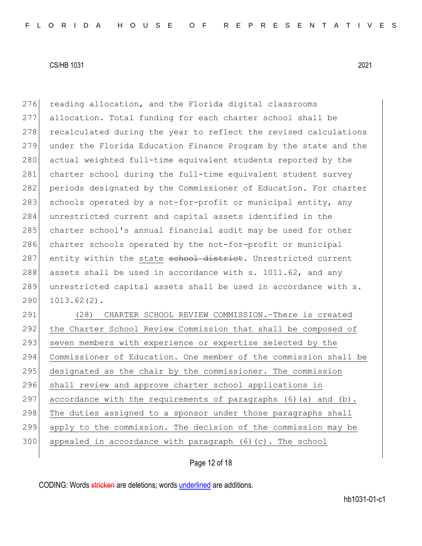276 reading allocation, and the Florida digital classrooms 277 allocation. Total funding for each charter school shall be 278 recalculated during the year to reflect the revised calculations 279 under the Florida Education Finance Program by the state and the 280 actual weighted full-time equivalent students reported by the 281 charter school during the full-time equivalent student survey 282 periods designated by the Commissioner of Education. For charter 283 schools operated by a not-for-profit or municipal entity, any 284 unrestricted current and capital assets identified in the 285 charter school's annual financial audit may be used for other 286 charter schools operated by the not-for-profit or municipal 287 entity within the state school district. Unrestricted current 288 assets shall be used in accordance with s.  $1011.62$ , and any 289 unrestricted capital assets shall be used in accordance with s.  $290$  1013.62(2).

291 (28) CHARTER SCHOOL REVIEW COMMISSION.–There is created 292 the Charter School Review Commission that shall be composed of 293 seven members with experience or expertise selected by the 294 Commissioner of Education. One member of the commission shall be 295 designated as the chair by the commissioner. The commission 296 shall review and approve charter school applications in 297 accordance with the requirements of paragraphs  $(6)$  (a) and  $(b)$ . 298 The duties assigned to a sponsor under those paragraphs shall 299 apply to the commission. The decision of the commission may be  $300$  appealed in accordance with paragraph  $(6)$  (c). The school

# Page 12 of 18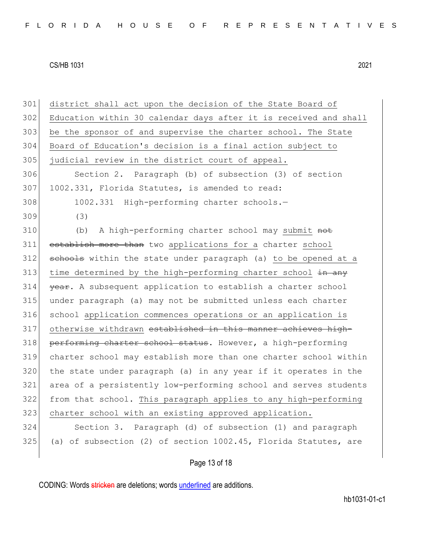301 district shall act upon the decision of the State Board of 302 Education within 30 calendar days after it is received and shall 303 be the sponsor of and supervise the charter school. The State 304 Board of Education's decision is a final action subject to 305 judicial review in the district court of appeal. 306 Section 2. Paragraph (b) of subsection (3) of section 307 1002.331, Florida Statutes, is amended to read: 308 1002.331 High-performing charter schools.-309 (3) 310 (b) A high-performing charter school may submit not 311 establish more than two applications for a charter school 312 schools within the state under paragraph (a) to be opened at a 313 time determined by the high-performing charter school  $\frac{1}{2}$  any 314 **year.** A subsequent application to establish a charter school 315 under paragraph (a) may not be submitted unless each charter 316 school application commences operations or an application is 317 otherwise withdrawn established in this manner achieves high-318 performing charter school status. However, a high-performing 319 charter school may establish more than one charter school within 320 the state under paragraph (a) in any year if it operates in the 321 area of a persistently low-performing school and serves students 322 from that school. This paragraph applies to any high-performing 323 charter school with an existing approved application. 324 Section 3. Paragraph (d) of subsection (1) and paragraph  $325$  (a) of subsection (2) of section  $1002.45$ , Florida Statutes, are

# Page 13 of 18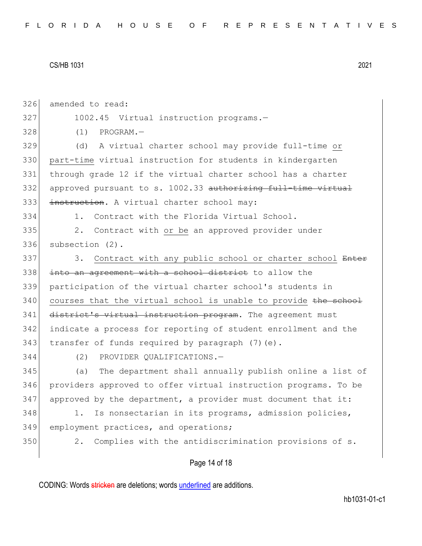326 amended to read:

327 1002.45 Virtual instruction programs.-

328 (1) PROGRAM.—

329 (d) A virtual charter school may provide full-time or 330 part-time virtual instruction for students in kindergarten 331 through grade 12 if the virtual charter school has a charter 332 approved pursuant to s. 1002.33 authorizing full-time virtual 333 instruction. A virtual charter school may:

334 1. Contract with the Florida Virtual School.

335 2. Contract with or be an approved provider under 336 subsection (2).

337 3. Contract with any public school or charter school Enter 338 into an agreement with a school district to allow the 339 participation of the virtual charter school's students in  $340$  courses that the virtual school is unable to provide the school 341 district's virtual instruction program. The agreement must 342 indicate a process for reporting of student enrollment and the 343  $\vert$  transfer of funds required by paragraph (7)(e).

344 (2) PROVIDER QUALIFICATIONS.—

345 (a) The department shall annually publish online a list of 346 providers approved to offer virtual instruction programs. To be  $347$  approved by the department, a provider must document that it:

348 1. Is nonsectarian in its programs, admission policies, 349 employment practices, and operations;

350 2. Complies with the antidiscrimination provisions of s.

Page 14 of 18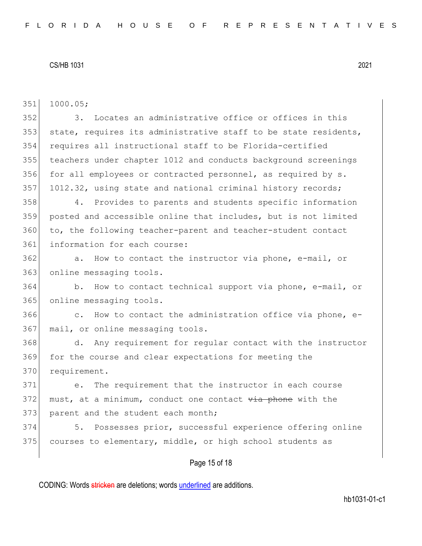| 351 | 1000.05;                                                                 |
|-----|--------------------------------------------------------------------------|
| 352 | Locates an administrative office or offices in this<br>3.                |
| 353 | state, requires its administrative staff to be state residents,          |
| 354 | requires all instructional staff to be Florida-certified                 |
| 355 | teachers under chapter 1012 and conducts background screenings           |
| 356 | for all employees or contracted personnel, as required by s.             |
| 357 | 1012.32, using state and national criminal history records;              |
| 358 | Provides to parents and students specific information<br>4.              |
| 359 | posted and accessible online that includes, but is not limited           |
| 360 | to, the following teacher-parent and teacher-student contact             |
| 361 | information for each course:                                             |
| 362 | a. How to contact the instructor via phone, e-mail, or                   |
| 363 | online messaging tools.                                                  |
| 364 | How to contact technical support via phone, e-mail, or<br>b.             |
| 365 | online messaging tools.                                                  |
| 366 | How to contact the administration office via phone, e-<br>$\mathbb{C}$ . |
| 367 | mail, or online messaging tools.                                         |
| 368 | Any requirement for regular contact with the instructor<br>d.            |
| 369 | for the course and clear expectations for meeting the                    |
| 370 | requirement.                                                             |
| 371 | The requirement that the instructor in each course<br>e <sub>1</sub>     |
| 372 | must, at a minimum, conduct one contact via phone with the               |
| 373 | parent and the student each month;                                       |
| 374 | Possesses prior, successful experience offering online<br>5.             |
| 375 | courses to elementary, middle, or high school students as                |
|     |                                                                          |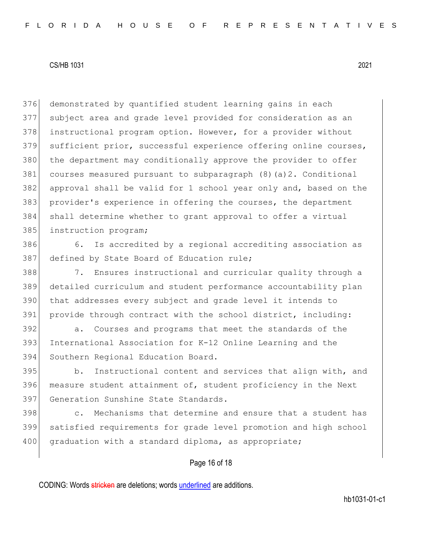376 demonstrated by quantified student learning gains in each 377 subject area and grade level provided for consideration as an 378 instructional program option. However, for a provider without 379 sufficient prior, successful experience offering online courses, 380 the department may conditionally approve the provider to offer 381 courses measured pursuant to subparagraph (8)(a)2. Conditional 382 approval shall be valid for 1 school year only and, based on the 383 provider's experience in offering the courses, the department 384 shall determine whether to grant approval to offer a virtual 385 instruction program;

386 6. Is accredited by a regional accrediting association as 387 defined by State Board of Education rule;

388 7. Ensures instructional and curricular quality through a 389 detailed curriculum and student performance accountability plan 390 that addresses every subject and grade level it intends to 391 provide through contract with the school district, including:

392 a. Courses and programs that meet the standards of the 393 International Association for K-12 Online Learning and the 394 Southern Regional Education Board.

395 b. Instructional content and services that align with, and 396 measure student attainment of, student proficiency in the Next 397 Generation Sunshine State Standards.

398 c. Mechanisms that determine and ensure that a student has 399 satisfied requirements for grade level promotion and high school 400 graduation with a standard diploma, as appropriate;

# Page 16 of 18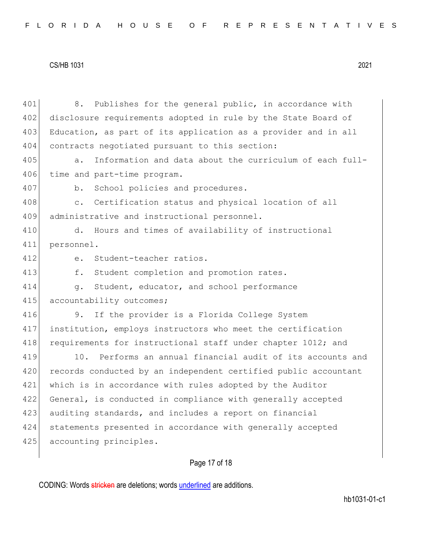|  |  |  |  |  |  |  |  |  |  |  |  |  | FLORIDA HOUSE OF REPRESENTATIVES |  |  |  |  |  |  |  |  |  |  |  |  |  |  |  |  |  |
|--|--|--|--|--|--|--|--|--|--|--|--|--|----------------------------------|--|--|--|--|--|--|--|--|--|--|--|--|--|--|--|--|--|
|--|--|--|--|--|--|--|--|--|--|--|--|--|----------------------------------|--|--|--|--|--|--|--|--|--|--|--|--|--|--|--|--|--|

| 401 | 8. Publishes for the general public, in accordance with          |
|-----|------------------------------------------------------------------|
| 402 | disclosure requirements adopted in rule by the State Board of    |
| 403 | Education, as part of its application as a provider and in all   |
| 404 | contracts negotiated pursuant to this section:                   |
| 405 | Information and data about the curriculum of each full-<br>$a$ . |
| 406 | time and part-time program.                                      |
| 407 | School policies and procedures.<br>b.                            |
| 408 | Certification status and physical location of all<br>$\circ$ .   |
| 409 | administrative and instructional personnel.                      |
| 410 | Hours and times of availability of instructional<br>d.           |
| 411 | personnel.                                                       |
| 412 | Student-teacher ratios.<br>$e$ .                                 |
| 413 | f.<br>Student completion and promotion rates.                    |
| 414 | Student, educator, and school performance<br>$q$ .               |
| 415 | accountability outcomes;                                         |
| 416 | If the provider is a Florida College System<br>9.                |
| 417 | institution, employs instructors who meet the certification      |
| 418 | requirements for instructional staff under chapter 1012; and     |
| 419 | 10. Performs an annual financial audit of its accounts and       |
| 420 | records conducted by an independent certified public accountant  |
| 421 | which is in accordance with rules adopted by the Auditor         |
| 422 | General, is conducted in compliance with generally accepted      |
| 423 | auditing standards, and includes a report on financial           |
| 424 | statements presented in accordance with generally accepted       |
| 425 | accounting principles.                                           |
|     |                                                                  |

# Page 17 of 18